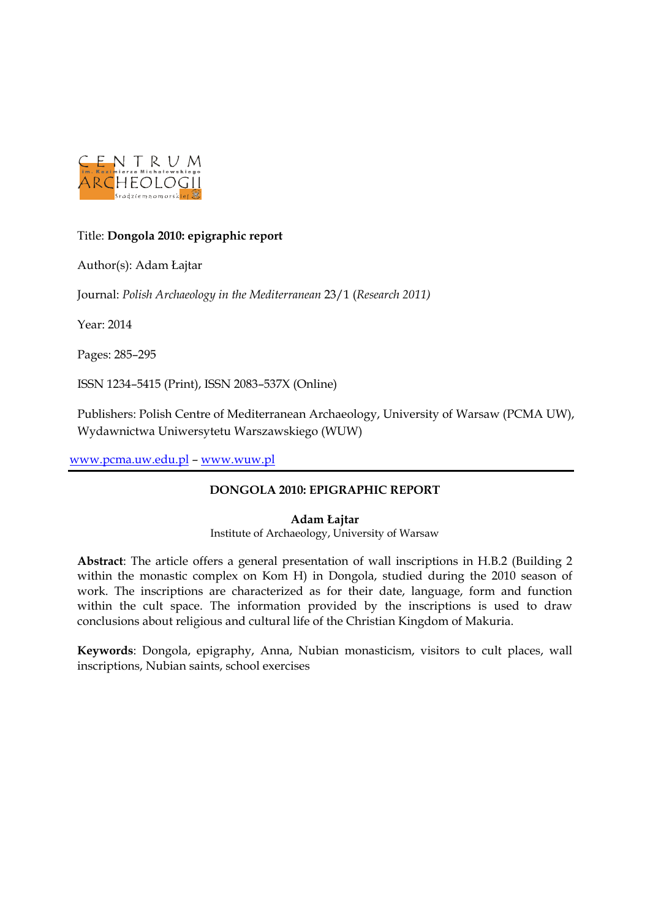

### Title: **Dongola 2010: epigraphic report**

Author(s): Adam Łajtar

Journal: *Polish Archaeology in the Mediterranean* 23/1 (*Research 2011)*

Year: 2014

Pages: 285–295

ISSN 1234–5415 (Print), ISSN 2083–537X (Online)

Publishers: Polish Centre of Mediterranean Archaeology, University of Warsaw (PCMA UW), Wydawnictwa Uniwersytetu Warszawskiego (WUW)

[www.pcma.uw.edu.pl](http://www.pcma.uw.edu.pl/) – [www.wuw.pl](http://www.wuw.pl/)

### **DONGOLA 2010: EPIGRAPHIC REPORT**

### **Adam Łajtar**

Institute of Archaeology, University of Warsaw

**Abstract**: The article offers a general presentation of wall inscriptions in H.B.2 (Building 2 within the monastic complex on Kom H) in Dongola, studied during the 2010 season of work. The inscriptions are characterized as for their date, language, form and function within the cult space. The information provided by the inscriptions is used to draw conclusions about religious and cultural life of the Christian Kingdom of Makuria.

**Keywords**: Dongola, epigraphy, Anna, Nubian monasticism, visitors to cult places, wall inscriptions, Nubian saints, school exercises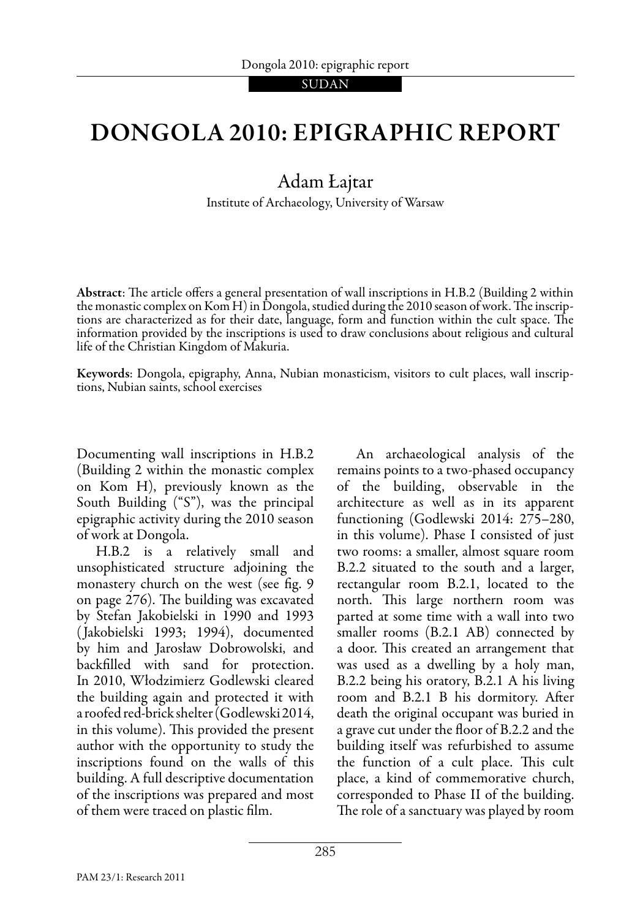# Dongola 2010: epigraphic report

## Adam Łajtar

Institute of Archaeology, University of Warsaw

Abstract: The article offers a general presentation of wall inscriptions in H.B.2 (Building 2 within the monastic complex on Kom H) in Dongola, studied during the 2010 season of work. The inscriptions are characterized as for their date, language, form and function within the cult space. The information provided by the inscriptions is used to draw conclusions about religious and cultural life of the Christian Kingdom of Makuria.

Keywords: Dongola, epigraphy, Anna, Nubian monasticism, visitors to cult places, wall inscriptions, Nubian saints, school exercises

Documenting wall inscriptions in H.B.2 (Building 2 within the monastic complex on Kom H), previously known as the South Building ("S"), was the principal epigraphic activity during the 2010 season of work at Dongola.

 H.B.2 is a relatively small and unsophisticated structure adjoining the monastery church on the west (see fig. 9 on page 276). The building was excavated by Stefan Jakobielski in 1990 and 1993 ( Jakobielski 1993; 1994), documented by him and Jarosław Dobrowolski, and backfilled with sand for protection. In 2010, Włodzimierz Godlewski cleared the building again and protected it with a roofed red-brick shelter (Godlewski 2014, in this volume). This provided the present author with the opportunity to study the inscriptions found on the walls of this building. A full descriptive documentation of the inscriptions was prepared and most of them were traced on plastic film.

 An archaeological analysis of the remains points to a two-phased occupancy of the building, observable in the architecture as well as in its apparent functioning (Godlewski 2014: 275–280, in this volume). Phase I consisted of just two rooms: a smaller, almost square room B.2.2 situated to the south and a larger, rectangular room B.2.1, located to the north. This large northern room was parted at some time with a wall into two smaller rooms (B.2.1 AB) connected by a door. This created an arrangement that was used as a dwelling by a holy man, B.2.2 being his oratory, B.2.1 A his living room and B.2.1 B his dormitory. After death the original occupant was buried in a grave cut under the floor of B.2.2 and the building itself was refurbished to assume the function of a cult place. This cult place, a kind of commemorative church, corresponded to Phase II of the building. The role of a sanctuary was played by room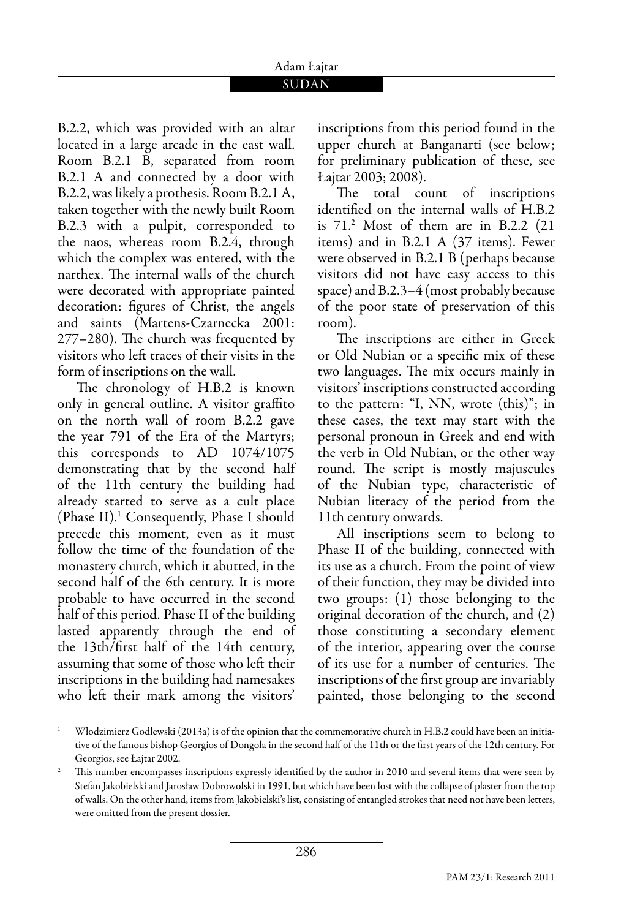# Adam Łajtar

### SUDAN

B.2.2, which was provided with an altar located in a large arcade in the east wall. Room B.2.1 B, separated from room B.2.1 A and connected by a door with B.2.2, was likely a prothesis. Room B.2.1 A, taken together with the newly built Room B.2.3 with a pulpit, corresponded to the naos, whereas room B.2.4, through which the complex was entered, with the narthex. The internal walls of the church were decorated with appropriate painted decoration: figures of Christ, the angels and saints (Martens-Czarnecka 2001: 277–280). The church was frequented by visitors who left traces of their visits in the form of inscriptions on the wall.

The chronology of H.B.2 is known only in general outline. A visitor graffito on the north wall of room B.2.2 gave the year 791 of the Era of the Martyrs; this corresponds to AD 1074/1075 demonstrating that by the second half of the 11th century the building had already started to serve as a cult place (Phase II).1 Consequently, Phase I should precede this moment, even as it must follow the time of the foundation of the monastery church, which it abutted, in the second half of the 6th century. It is more probable to have occurred in the second half of this period. Phase II of the building lasted apparently through the end of the 13th/first half of the 14th century, assuming that some of those who left their inscriptions in the building had namesakes who left their mark among the visitors'

inscriptions from this period found in the upper church at Banganarti (see below; for preliminary publication of these, see Łajtar 2003; 2008).

The total count of inscriptions identified on the internal walls of H.B.2 is 71.2 Most of them are in B.2.2 (21 items) and in B.2.1 A (37 items). Fewer were observed in B.2.1 B (perhaps because visitors did not have easy access to this space) and B.2.3–4 (most probably because of the poor state of preservation of this room).

The inscriptions are either in Greek or Old Nubian or a specific mix of these two languages. The mix occurs mainly in visitors' inscriptions constructed according to the pattern: "I, NN, wrote (this)"; in these cases, the text may start with the personal pronoun in Greek and end with the verb in Old Nubian, or the other way round. The script is mostly majuscules of the Nubian type, characteristic of Nubian literacy of the period from the 11th century onwards.

 All inscriptions seem to belong to Phase II of the building, connected with its use as a church. From the point of view of their function, they may be divided into two groups: (1) those belonging to the original decoration of the church, and (2) those constituting a secondary element of the interior, appearing over the course of its use for a number of centuries. The inscriptions of the first group are invariably painted, those belonging to the second

<sup>1</sup> Włodzimierz Godlewski (2013a) is of the opinion that the commemorative church in H.B.2 could have been an initiative of the famous bishop Georgios of Dongola in the second half of the 11th or the first years of the 12th century. For

Georgios, see Łajtar 2002.<br>This number encompasses inscriptions expressly identified by the author in 2010 and several items that were seen by Stefan Jakobielski and Jarosław Dobrowolski in 1991, but which have been lost with the collapse of plaster from the top of walls. On the other hand, items from Jakobielski's list, consisting of entangled strokes that need not have been letters, were omitted from the present dossier.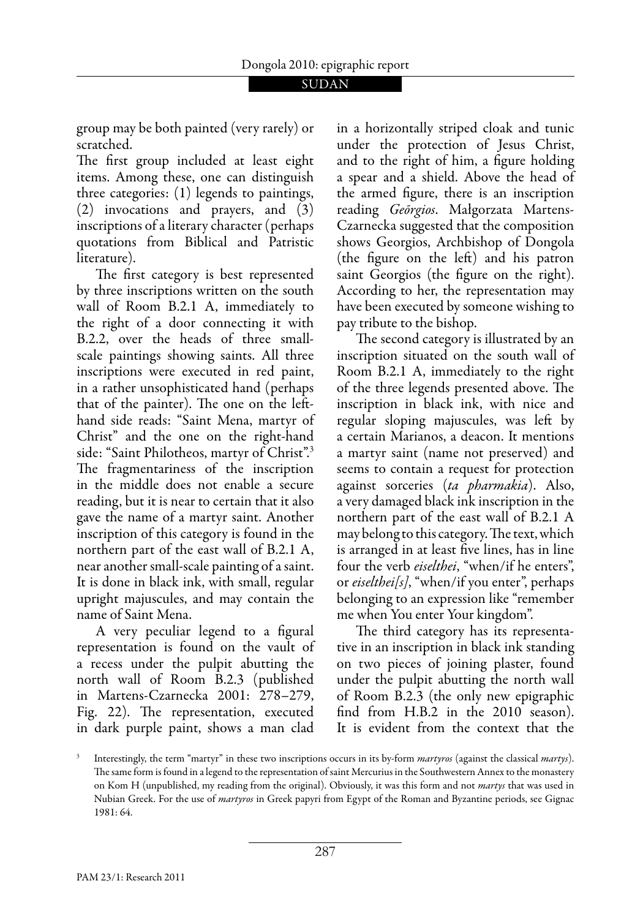group may be both painted (very rarely) or scratched.

The first group included at least eight items. Among these, one can distinguish three categories: (1) legends to paintings, (2) invocations and prayers, and (3) inscriptions of a literary character (perhaps quotations from Biblical and Patristic literature).

The first category is best represented by three inscriptions written on the south wall of Room B.2.1 A, immediately to the right of a door connecting it with B.2.2, over the heads of three smallscale paintings showing saints. All three inscriptions were executed in red paint, in a rather unsophisticated hand (perhaps that of the painter). The one on the lefthand side reads: "Saint Mena, martyr of Christ" and the one on the right-hand side: "Saint Philotheos, martyr of Christ".<sup>3</sup> The fragmentariness of the inscription in the middle does not enable a secure reading, but it is near to certain that it also gave the name of a martyr saint. Another inscription of this category is found in the northern part of the east wall of B.2.1 A, near another small-scale painting of a saint. It is done in black ink, with small, regular upright majuscules, and may contain the name of Saint Mena.

 A very peculiar legend to a figural representation is found on the vault of a recess under the pulpit abutting the north wall of Room B.2.3 (published in Martens-Czarnecka 2001: 278–279, Fig. 22). The representation, executed in dark purple paint, shows a man clad

in a horizontally striped cloak and tunic under the protection of Jesus Christ, and to the right of him, a figure holding a spear and a shield. Above the head of the armed figure, there is an inscription reading *Geōrgios*. Małgorzata Martens-Czarnecka suggested that the composition shows Georgios, Archbishop of Dongola (the figure on the left) and his patron saint Georgios (the figure on the right). According to her, the representation may have been executed by someone wishing to pay tribute to the bishop.

The second category is illustrated by an inscription situated on the south wall of Room B.2.1 A, immediately to the right of the three legends presented above. The inscription in black ink, with nice and regular sloping majuscules, was left by a certain Marianos, a deacon. It mentions a martyr saint (name not preserved) and seems to contain a request for protection against sorceries (*ta pharmakia*). Also, a very damaged black ink inscription in the northern part of the east wall of B.2.1 A may belong to this category. The text, which is arranged in at least five lines, has in line four the verb *eiselthei*, "when/if he enters", or *eiselthei[s]*, "when/if you enter", perhaps belonging to an expression like "remember me when You enter Your kingdom".

The third category has its representative in an inscription in black ink standing on two pieces of joining plaster, found under the pulpit abutting the north wall of Room B.2.3 (the only new epigraphic find from H.B.2 in the 2010 season). It is evident from the context that the

<sup>3</sup> Interestingly, the term "martyr" in these two inscriptions occurs in its by-form *martyros* (against the classical *martys*). The same form is found in a legend to the representation of saint Mercurius in the Southwestern Annex to the monastery on Kom H (unpublished, my reading from the original). Obviously, it was this form and not *martys* that was used in Nubian Greek. For the use of *martyros* in Greek papyri from Egypt of the Roman and Byzantine periods, see Gignac 1981: 64.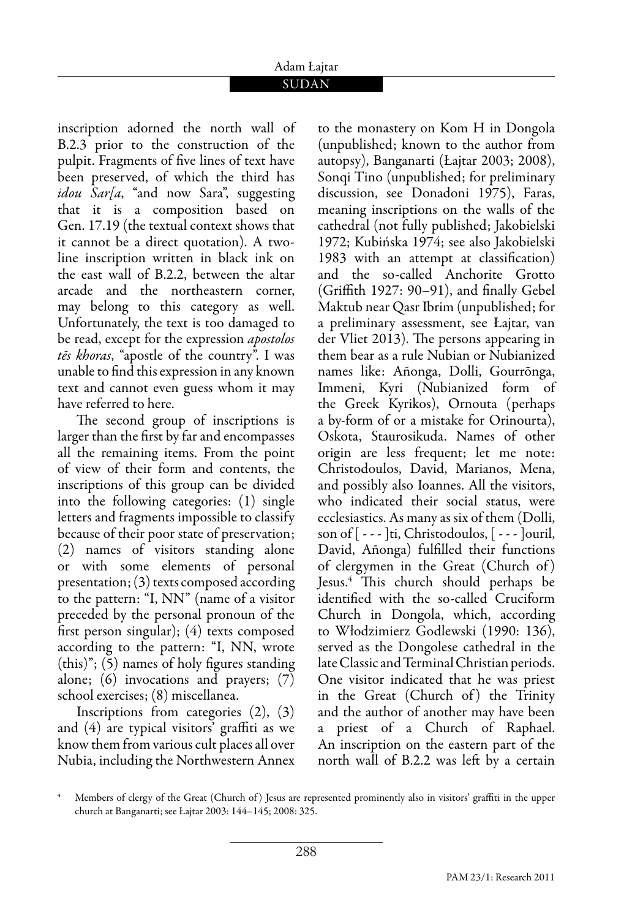# Adam Łajtar

### SUDAN

inscription adorned the north wall of B.2.3 prior to the construction of the pulpit. Fragments of five lines of text have been preserved, of which the third has *idou Sar[a*, "and now Sara", suggesting that it is a composition based on Gen. 17.19 (the textual context shows that it cannot be a direct quotation). A twoline inscription written in black ink on the east wall of B.2.2, between the altar arcade and the northeastern corner, may belong to this category as well. Unfortunately, the text is too damaged to be read, except for the expression *apostolos tēs khoras*, "apostle of the country". I was unable to find this expression in any known text and cannot even guess whom it may have referred to here.

The second group of inscriptions is larger than the first by far and encompasses all the remaining items. From the point of view of their form and contents, the inscriptions of this group can be divided into the following categories: (1) single letters and fragments impossible to classify because of their poor state of preservation; (2) names of visitors standing alone or with some elements of personal presentation; (3) texts composed according to the pattern: "I, NN" (name of a visitor preceded by the personal pronoun of the first person singular); (4) texts composed according to the pattern: "I, NN, wrote (this)"; (5) names of holy figures standing alone; (6) invocations and prayers; (7) school exercises; (8) miscellanea.

 Inscriptions from categories (2), (3) and (4) are typical visitors' graffiti as we know them from various cult places all over Nubia, including the Northwestern Annex to the monastery on Kom H in Dongola (unpublished; known to the author from autopsy), Banganarti (Łajtar 2003; 2008), Sonqi Tino (unpublished; for preliminary discussion, see Donadoni 1975), Faras, meaning inscriptions on the walls of the cathedral (not fully published; Jakobielski 1972; Kubińska 1974; see also Jakobielski 1983 with an attempt at classification) and the so-called Anchorite Grotto (Griffith 1927: 90–91), and finally Gebel Maktub near Qasr Ibrim (unpublished; for a preliminary assessment, see Łajtar, van der Vliet 2013). The persons appearing in them bear as a rule Nubian or Nubianized names like: Añonga, Dolli, Gourrōnga, Immeni, Kyri (Nubianized form of the Greek Kyrikos), Ornouta (perhaps a by-form of or a mistake for Orinourta), Oskota, Staurosikuda. Names of other origin are less frequent; let me note: Christodoulos, David, Marianos, Mena, and possibly also Ioannes. All the visitors, who indicated their social status, were ecclesiastics. As many as six of them (Dolli, son of [ - - - ]ti, Christodoulos, [ - - - ]ouril, David, Añonga) fulfilled their functions of clergymen in the Great (Church of ) Jesus.4 This church should perhaps be identified with the so-called Cruciform Church in Dongola, which, according to Włodzimierz Godlewski (1990: 136), served as the Dongolese cathedral in the late Classic and Terminal Christian periods. One visitor indicated that he was priest in the Great (Church of) the Trinity and the author of another may have been a priest of a Church of Raphael. An inscription on the eastern part of the north wall of B.2.2 was left by a certain

<sup>4</sup> Members of clergy of the Great (Church of) Jesus are represented prominently also in visitors' graffiti in the upper church at Banganarti; see Łajtar 2003: 144–145; 2008: 325.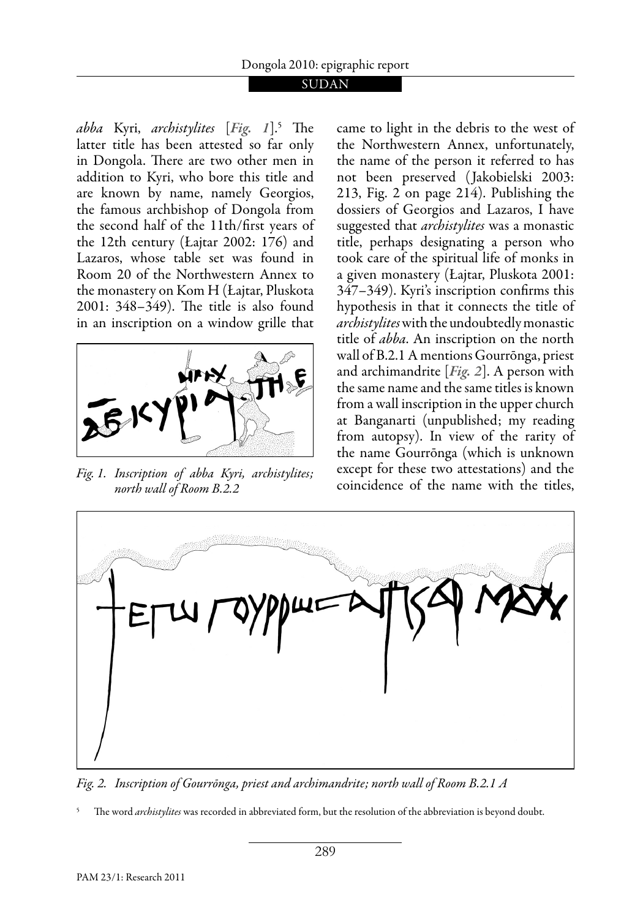#### **SUDAN**

*abba* Kyri, *archistylites* [*Fig. 1*].5 The latter title has been attested so far only in Dongola. There are two other men in addition to Kyri, who bore this title and are known by name, namely Georgios, the famous archbishop of Dongola from the second half of the 11th/first years of the 12th century (Łajtar 2002: 176) and Lazaros, whose table set was found in Room 20 of the Northwestern Annex to the monastery on Kom H (Łajtar, Pluskota 2001: 348–349). The title is also found in an inscription on a window grille that



*north wall of Room B.2.2* 

came to light in the debris to the west of the Northwestern Annex, unfortunately, the name of the person it referred to has not been preserved ( Jakobielski 2003: 213, Fig. 2 on page 214). Publishing the dossiers of Georgios and Lazaros, I have suggested that *archistylites* was a monastic title, perhaps designating a person who took care of the spiritual life of monks in a given monastery (Łajtar, Pluskota 2001: 347–349). Kyri's inscription confirms this hypothesis in that it connects the title of *archistylites* with the undoubtedly monastic title of *abba*. An inscription on the north wall of B.2.1 A mentions Gourrōnga, priest and archimandrite [*Fig. 2*]. A person with the same name and the same titles is known from a wall inscription in the upper church at Banganarti (unpublished; my reading from autopsy). In view of the rarity of the name Gourrōnga (which is unknown except for these two attestations) and the Fig. 1. Inscription of abba Kyri, archistylites; except for these two attestations) and the titles,<br>*north wall of Room R 2 2* coincidence of the name with the titles,



*Fig. 2. Inscription of Gourrōnga, priest and archimandrite; north wall of Room B.2.1 A* 

<sup>5</sup> The word *archistylites* was recorded in abbreviated form, but the resolution of the abbreviation is beyond doubt.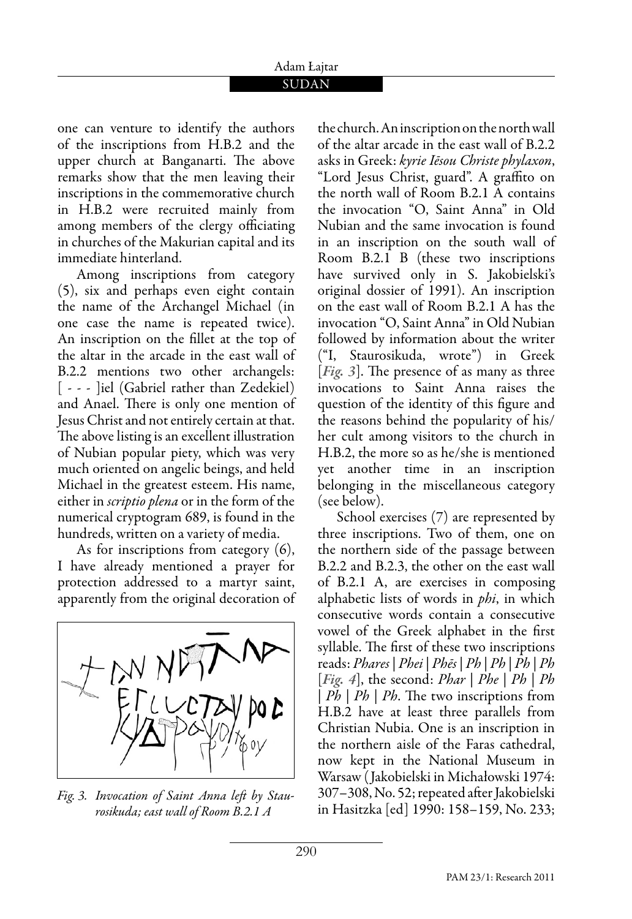#### Adam Łajtar SUDAN

one can venture to identify the authors of the inscriptions from H.B.2 and the upper church at Banganarti. The above remarks show that the men leaving their inscriptions in the commemorative church in H.B.2 were recruited mainly from among members of the clergy officiating in churches of the Makurian capital and its immediate hinterland.

 Among inscriptions from category (5), six and perhaps even eight contain the name of the Archangel Michael (in one case the name is repeated twice). An inscription on the fillet at the top of the altar in the arcade in the east wall of B.2.2 mentions two other archangels: [ - - - ]iel (Gabriel rather than Zedekiel) and Anael. There is only one mention of Jesus Christ and not entirely certain at that. The above listing is an excellent illustration of Nubian popular piety, which was very much oriented on angelic beings, and held Michael in the greatest esteem. His name, either in *scriptio plena* or in the form of the numerical cryptogram 689, is found in the hundreds, written on a variety of media.

 As for inscriptions from category (6), I have already mentioned a prayer for protection addressed to a martyr saint, apparently from the original decoration of



*Fig. 3. Invocation of Saint Anna left by Staurosikuda; east wall of Room B.2.1 A* 

the church. An inscription on the north wall of the altar arcade in the east wall of B.2.2 asks in Greek: *kyrie Iēsou Christe phylaxon*, "Lord Jesus Christ, guard". A graffito on the north wall of Room B.2.1 A contains the invocation "O, Saint Anna" in Old Nubian and the same invocation is found in an inscription on the south wall of Room B.2.1 B (these two inscriptions have survived only in S. Jakobielski's original dossier of 1991). An inscription on the east wall of Room B.2.1 A has the invocation "O, Saint Anna" in Old Nubian followed by information about the writer ("I, Staurosikuda, wrote") in Greek [*Fig. 3*]. The presence of as many as three invocations to Saint Anna raises the question of the identity of this figure and the reasons behind the popularity of his/ her cult among visitors to the church in H.B.2, the more so as he/she is mentioned yet another time in an inscription belonging in the miscellaneous category (see below).

 School exercises (7) are represented by three inscriptions. Two of them, one on the northern side of the passage between B.2.2 and B.2.3, the other on the east wall of B.2.1 A, are exercises in composing alphabetic lists of words in *phi*, in which consecutive words contain a consecutive vowel of the Greek alphabet in the first syllable. The first of these two inscriptions reads: *Phares* | *Phei* | *Phēs* | *Ph* | *Ph* | *Ph* | *Ph* [*Fig. 4*], the second: *Phar* | *Phe* | *Ph* | *Ph* | *Ph* | *Ph* | *Ph*. The two inscriptions from H.B.2 have at least three parallels from Christian Nubia. One is an inscription in the northern aisle of the Faras cathedral, now kept in the National Museum in Warsaw ( Jakobielski in Michałowski 1974: 307–308, No. 52; repeated after Jakobielski in Hasitzka [ed] 1990: 158–159, No. 233;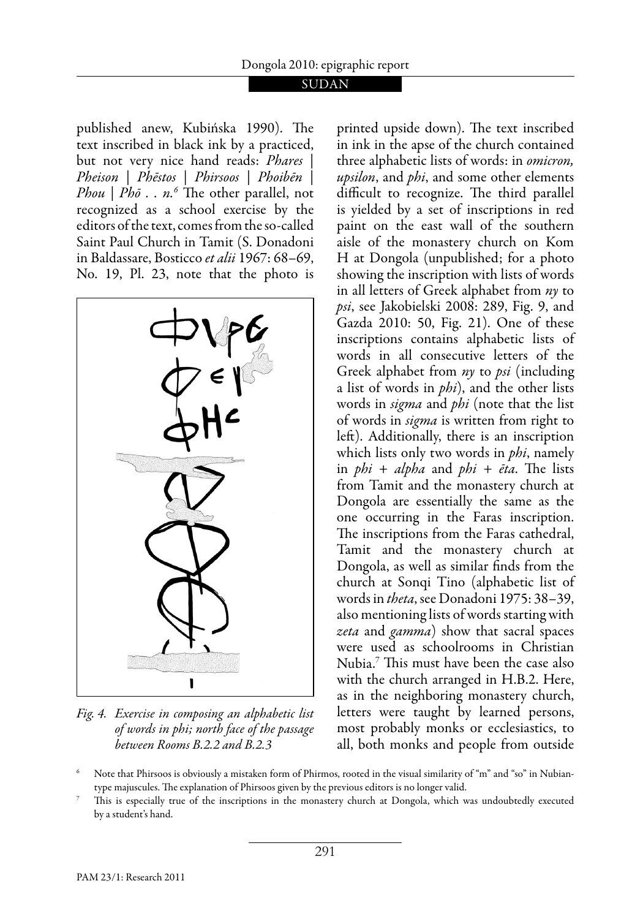published anew, Kubińska 1990). The text inscribed in black ink by a practiced, but not very nice hand reads: *Phares* | *Pheison* | *Phēstos* | *Phirsoos* | *Phoibēn* | *Phou* | *Phō . . n.6* The other parallel, not recognized as a school exercise by the editors of the text, comes from the so-called Saint Paul Church in Tamit (S. Donadoni in Baldassare, Bosticco *et alii* 1967: 68–69, No. 19, Pl. 23, note that the photo is



*Fig. 4. Exercise in composing an alphabetic list of words in phi; north face of the passage between Rooms B.2.2 and B.2.3* 

printed upside down). The text inscribed in ink in the apse of the church contained three alphabetic lists of words: in *omicron, upsilon*, and *phi*, and some other elements difficult to recognize. The third parallel is yielded by a set of inscriptions in red paint on the east wall of the southern aisle of the monastery church on Kom H at Dongola (unpublished; for a photo showing the inscription with lists of words in all letters of Greek alphabet from *ny* to *psi*, see Jakobielski 2008: 289, Fig. 9, and Gazda 2010: 50, Fig. 21). One of these inscriptions contains alphabetic lists of words in all consecutive letters of the Greek alphabet from *ny* to *psi* (including a list of words in *phi*), and the other lists words in *sigma* and *phi* (note that the list of words in *sigma* is written from right to left). Additionally, there is an inscription which lists only two words in *phi*, namely in *phi* + *alpha* and *phi* + *ēta*. The lists from Tamit and the monastery church at Dongola are essentially the same as the one occurring in the Faras inscription. The inscriptions from the Faras cathedral, Tamit and the monastery church at Dongola, as well as similar finds from the church at Sonqi Tino (alphabetic list of words in *theta*, see Donadoni 1975: 38–39, also mentioning lists of words starting with *zeta* and *gamma*) show that sacral spaces were used as schoolrooms in Christian Nubia.7 This must have been the case also with the church arranged in H.B.2. Here, as in the neighboring monastery church, letters were taught by learned persons, most probably monks or ecclesiastics, to all, both monks and people from outside

6 Note that Phirsoos is obviously a mistaken form of Phirmos, rooted in the visual similarity of "m" and "so" in Nubiantype majuscules. The explanation of Phirsoos given by the previous editors is no longer valid.<br>This is especially true of the inscriptions in the monastery church at Dongola, which was undoubtedly executed

by a student's hand.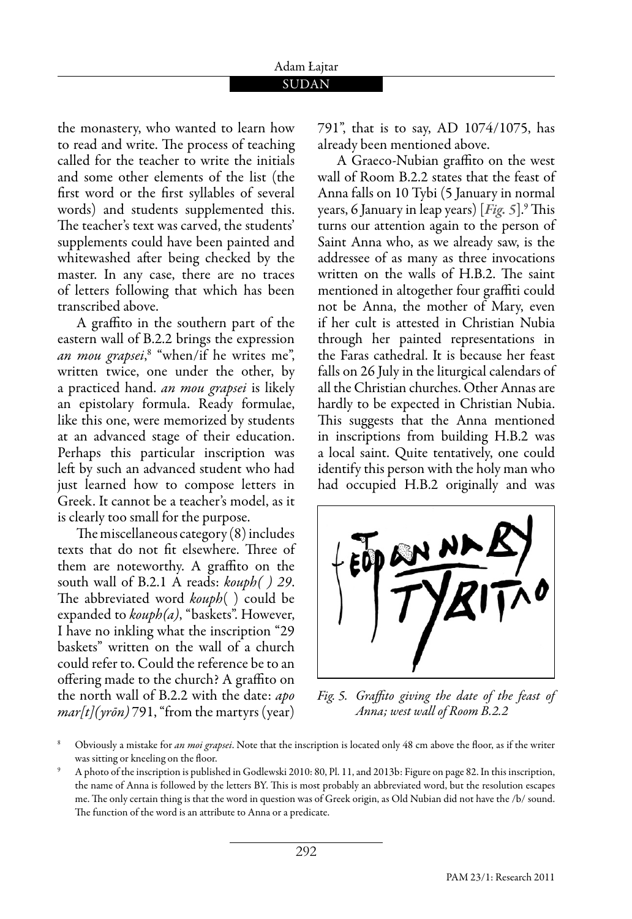#### Adam Łajtar SUDAN

the monastery, who wanted to learn how to read and write. The process of teaching called for the teacher to write the initials and some other elements of the list (the first word or the first syllables of several words) and students supplemented this. The teacher's text was carved, the students' supplements could have been painted and whitewashed after being checked by the master. In any case, there are no traces of letters following that which has been transcribed above.

 A graffito in the southern part of the eastern wall of B.2.2 brings the expression *an mou grapsei*, $^8$  "when/if he writes me", written twice, one under the other, by a practiced hand. *an mou grapsei* is likely an epistolary formula. Ready formulae, like this one, were memorized by students at an advanced stage of their education. Perhaps this particular inscription was left by such an advanced student who had just learned how to compose letters in Greek. It cannot be a teacher's model, as it is clearly too small for the purpose.

The miscellaneous category (8) includes texts that do not fit elsewhere. Three of them are noteworthy. A graffito on the south wall of B.2.1 A reads: *kouph( ) 29*. The abbreviated word *kouph*( ) could be expanded to *kouph(a)*, "baskets". However, I have no inkling what the inscription "29 baskets" written on the wall of a church could refer to. Could the reference be to an offering made to the church? A graffito on the north wall of B.2.2 with the date: *apo mar[t](yrōn)* 791, "from the martyrs (year)

791", that is to say, AD 1074/1075, has already been mentioned above.

 A Graeco-Nubian graffito on the west wall of Room B.2.2 states that the feast of Anna falls on 10 Tybi (5 January in normal years, 6 January in leap years) [*Fig. 5*].9 This turns our attention again to the person of Saint Anna who, as we already saw, is the addressee of as many as three invocations written on the walls of H.B.2. The saint mentioned in altogether four graffiti could not be Anna, the mother of Mary, even if her cult is attested in Christian Nubia through her painted representations in the Faras cathedral. It is because her feast falls on 26 July in the liturgical calendars of all the Christian churches. Other Annas are hardly to be expected in Christian Nubia. This suggests that the Anna mentioned in inscriptions from building H.B.2 was a local saint. Quite tentatively, one could identify this person with the holy man who had occupied H.B.2 originally and was



*Fig. 5. Graffito giving the date of the feast of Anna; west wall of Room B.2.2*

<sup>8</sup> Obviously a mistake for *an moi grapsei*. Note that the inscription is located only 48 cm above the floor, as if the writer was sitting or kneeling on the floor. 9

A photo of the inscription is published in Godlewski 2010: 80, Pl. 11, and 2013b: Figure on page 82. In this inscription, the name of Anna is followed by the letters BY. This is most probably an abbreviated word, but the resolution escapes me. The only certain thing is that the word in question was of Greek origin, as Old Nubian did not have the /b/ sound. The function of the word is an attribute to Anna or a predicate.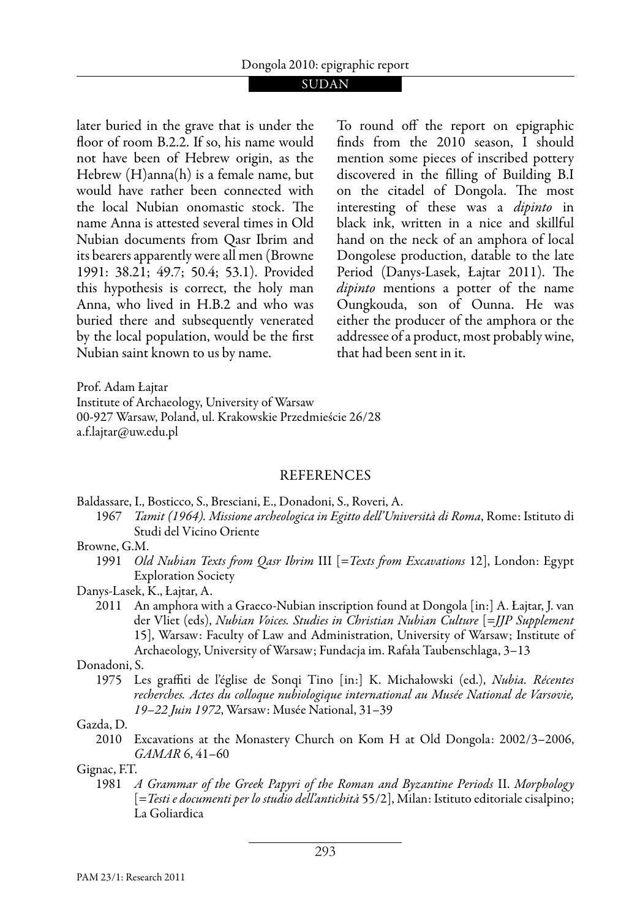later buried in the grave that is under the floor of room B.2.2. If so, his name would not have been of Hebrew origin, as the Hebrew (H)anna(h) is a female name, but would have rather been connected with the local Nubian onomastic stock. The name Anna is attested several times in Old Nubian documents from Qasr Ibrim and its bearers apparently were all men (Browne 1991: 38.21; 49.7; 50.4; 53.1). Provided this hypothesis is correct, the holy man Anna, who lived in H.B.2 and who was buried there and subsequently venerated by the local population, would be the first Nubian saint known to us by name.

To round off the report on epigraphic finds from the 2010 season, I should mention some pieces of inscribed pottery discovered in the filling of Building B.I on the citadel of Dongola. The most interesting of these was a *dipinto* in black ink, written in a nice and skillful hand on the neck of an amphora of local Dongolese production, datable to the late Period (Danys-Lasek, Łajtar 2011). The *dipinto* mentions a potter of the name Oungkouda, son of Ounna. He was either the producer of the amphora or the addressee of a product, most probably wine, that had been sent in it.

Prof. Adam Łajtar Institute of Archaeology, University of Warsaw 00-927 Warsaw, Poland, ul. Krakowskie Przedmieście 26/28 a.f.lajtar@uw.edu.pl

#### REFERENCES

Baldassare, I., Bosticco, S., Bresciani, E., Donadoni, S., Roveri, A.

1967 *Tamit (1964). Missione archeologica in Egitto dell'Università di Roma*, Rome: Istituto di Studi del Vicino Oriente

#### Browne, G.M.

- 1991 *Old Nubian Texts from Qasr Ibrim* III [=*Texts from Excavations* 12], London: Egypt Exploration Society
- Danys-Lasek, K., Łajtar, A.
	- 2011 An amphora with a Graeco-Nubian inscription found at Dongola [in:] A. Łajtar, J. van der Vliet (eds), *Nubian Voices. Studies in Christian Nubian Culture* [=*JJP Supplement* 15], Warsaw: Faculty of Law and Administration, University of Warsaw; Institute of Archaeology, University of Warsaw; Fundacja im. Rafała Taubenschlaga, 3–13

#### Donadoni, S.

1975 Les graffiti de l'église de Sonqi Tino [in:] K. Michałowski (ed.), *Nubia. Récentes recherches. Actes du colloque nubiologique international au Musée National de Varsovie, 19–22 Juin 1972*, Warsaw: Musée National, 31–39

#### Gazda, D.

2010 Excavations at the Monastery Church on Kom H at Old Dongola: 2002/3–2006, *GAMAR* 6, 41–60

#### Gignac, F.T.

1981 *A Grammar of the Greek Papyri of the Roman and Byzantine Periods* II. *Morphology* [=*Testi e documenti per lo studio dell'antichità* 55/2], Milan: Istituto editoriale cisalpino; La Goliardica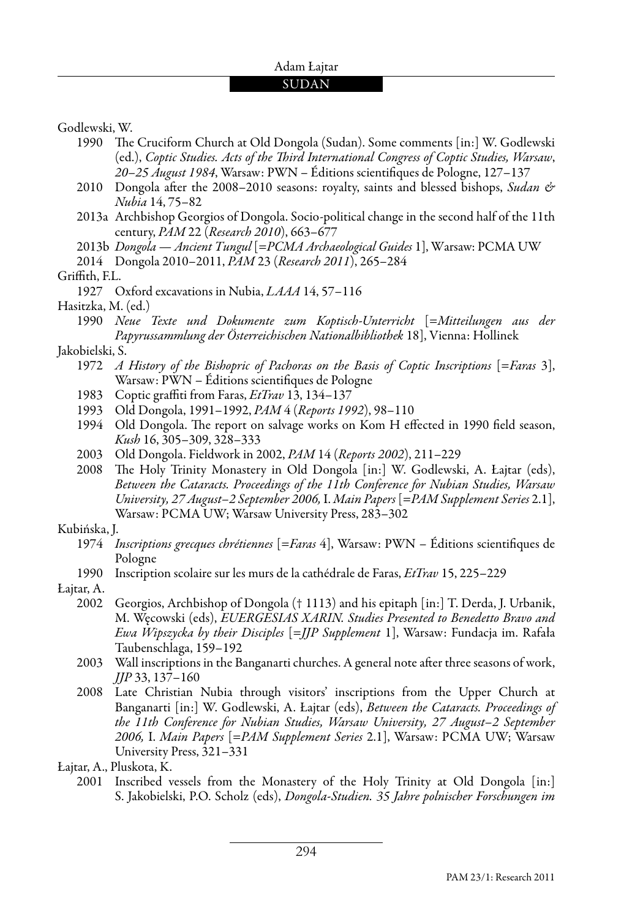#### Adam Łajtar

#### SUDAN

Godlewski, W.

- 1990 The Cruciform Church at Old Dongola (Sudan). Some comments [in:] W. Godlewski (ed.), *Coptic Studies. Acts of the Third International Congress of Coptic Studies, Warsaw*, *20–25 August 1984*, Warsaw: PWN – Éditions scientifiques de Pologne, 127–137
- 2010 Dongola after the 2008–2010 seasons: royalty, saints and blessed bishops, *Sudan & Nubia* 14, 75–82
- 2013a Archbishop Georgios of Dongola. Socio-political change in the second half of the 11th century, *PAM* 22 (*Research 2010*), 663–677
- 2013b *Dongola Ancient Tungul* [=*PCMA Archaeological Guides* 1], Warsaw: PCMA UW
- 2014 Dongola 2010–2011, *PAM* 23 (*Research 2011*), 265–284

Griffith, F.L.

- 1927 Oxford excavations in Nubia, *LAAA* 14, 57–116
- Hasitzka, M. (ed.)

#### Jakobielski, S.

- 1972 *A History of the Bishopric of Pachoras on the Basis of Coptic Inscriptions* [=*Faras* 3], Warsaw: PWN – Éditions scientifiques de Pologne
- 1983 Coptic graffiti from Faras, *EtTrav* 13, 134–137
- 1993 Old Dongola, 1991–1992, *PAM* 4 (*Reports 1992*), 98–110
- 1994 Old Dongola. The report on salvage works on Kom H effected in 1990 field season, *Kush* 16, 305–309, 328–333
- 2003 Old Dongola. Fieldwork in 2002, *PAM* 14 (*Reports 2002*), 211–229
- 2008 The Holy Trinity Monastery in Old Dongola [in:] W. Godlewski, A. Łajtar (eds), *Between the Cataracts. Proceedings of the 11th Conference for Nubian Studies, Warsaw University, 27 August–2 September 2006,* I. *Main Papers* [=*PAM Supplement Series* 2.1], Warsaw: PCMA UW; Warsaw University Press, 283–302

#### Kubińska, J.

- 1974 *Inscriptions grecques chrétiennes* [=*Faras* 4], Warsaw: PWN Éditions scientifiques de Pologne
- 1990 Inscription scolaire sur les murs de la cathédrale de Faras, *EtTrav* 15, 225–229
- Łajtar, A.
	- 2002 Georgios, Archbishop of Dongola († 1113) and his epitaph [in:] T. Derda, J. Urbanik, M. Węcowski (eds), *EUERGESIAS XARIN. Studies Presented to Benedetto Bravo and Ewa Wipszycka by their Disciples* [=*JJP Supplement* 1], Warsaw: Fundacja im. Rafała Taubenschlaga, 159–192
	- 2003 Wall inscriptions in the Banganarti churches. A general note after three seasons of work, *JJP* 33, 137–160
	- 2008 Late Christian Nubia through visitors' inscriptions from the Upper Church at Banganarti [in:] W. Godlewski, A. Łajtar (eds), *Between the Cataracts. Proceedings of the 11th Conference for Nubian Studies, Warsaw University, 27 August–2 September 2006,* I. *Main Papers* [=*PAM Supplement Series* 2.1], Warsaw: PCMA UW; Warsaw University Press, 321–331

Łajtar, A., Pluskota, K.

2001 Inscribed vessels from the Monastery of the Holy Trinity at Old Dongola [in:] S. Jakobielski, P.O. Scholz (eds), *Dongola-Studien. 35 Jahre polnischer Forschungen im* 

<sup>1990</sup> *Neue Texte und Dokumente zum Koptisch-Unterricht* [=*Mitteilungen aus der Papyrussammlung der Österreichischen Nationalbibliothek* 18], Vienna: Hollinek